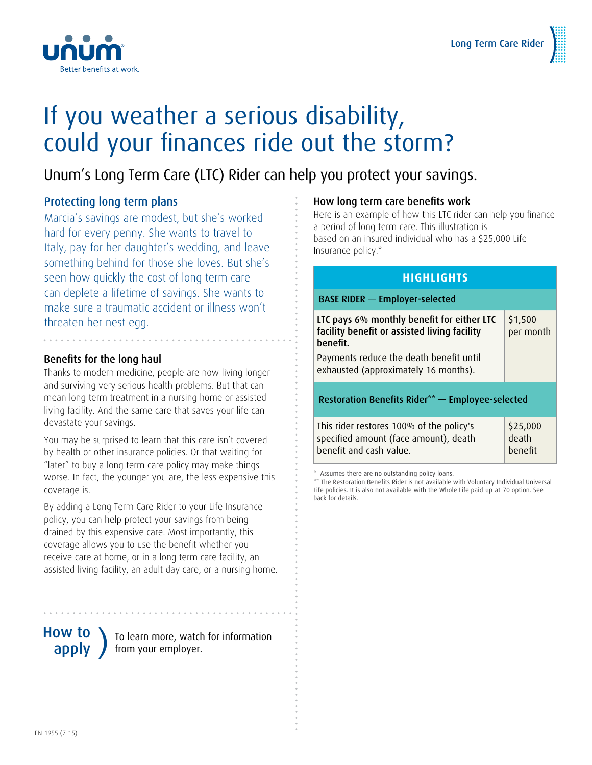

### If you weather a serious disability, could your finances ride out the storm?

### Unum's Long Term Care (LTC) Rider can help you protect your savings.

### Protecting long term plans

Marcia's savings are modest, but she's worked hard for every penny. She wants to travel to Italy, pay for her daughter's wedding, and leave something behind for those she loves. But she's seen how quickly the cost of long term care can deplete a lifetime of savings. She wants to make sure a traumatic accident or illness won't threaten her nest egg.

#### Benefits for the long haul

Thanks to modern medicine, people are now living longer and surviving very serious health problems. But that can mean long term treatment in a nursing home or assisted living facility. And the same care that saves your life can devastate your savings.

You may be surprised to learn that this care isn't covered by health or other insurance policies. Or that waiting for "later" to buy a long term care policy may make things worse. In fact, the younger you are, the less expensive this coverage is.

By adding a Long Term Care Rider to your Life Insurance policy, you can help protect your savings from being drained by this expensive care. Most importantly, this coverage allows you to use the benefit whether you receive care at home, or in a long term care facility, an assisted living facility, an adult day care, or a nursing home.

# How to

**OW TO**  $\left\{\n \begin{array}{c}\n 0 \\
0 \\
1\n \end{array}\n \right\}$  from your employer. from your employer.

#### How long term care benefits work

Here is an example of how this LTC rider can help you finance a period of long term care. This illustration is based on an insured individual who has a \$25,000 Life Insurance policy.\*

#### **HIGHLIGHTS**

| <b>BASE RIDER - Employer-selected</b>                                                                        |                                     |
|--------------------------------------------------------------------------------------------------------------|-------------------------------------|
| LTC pays 6% monthly benefit for either LTC<br>facility benefit or assisted living facility<br>benefit.       | \$1,500<br>per month                |
| Payments reduce the death benefit until<br>exhausted (approximately 16 months).                              |                                     |
| Restoration Benefits Rider <sup>**</sup> - Employee-selected                                                 |                                     |
| This rider restores 100% of the policy's<br>specified amount (face amount), death<br>benefit and cash value. | \$25,000<br>death<br><b>benefit</b> |

Assumes there are no outstanding policy loans.

\*\* The Restoration Benefits Rider is not available with Voluntary Individual Universal Life policies. It is also not available with the Whole Life paid-up-at-70 option. See back for details.